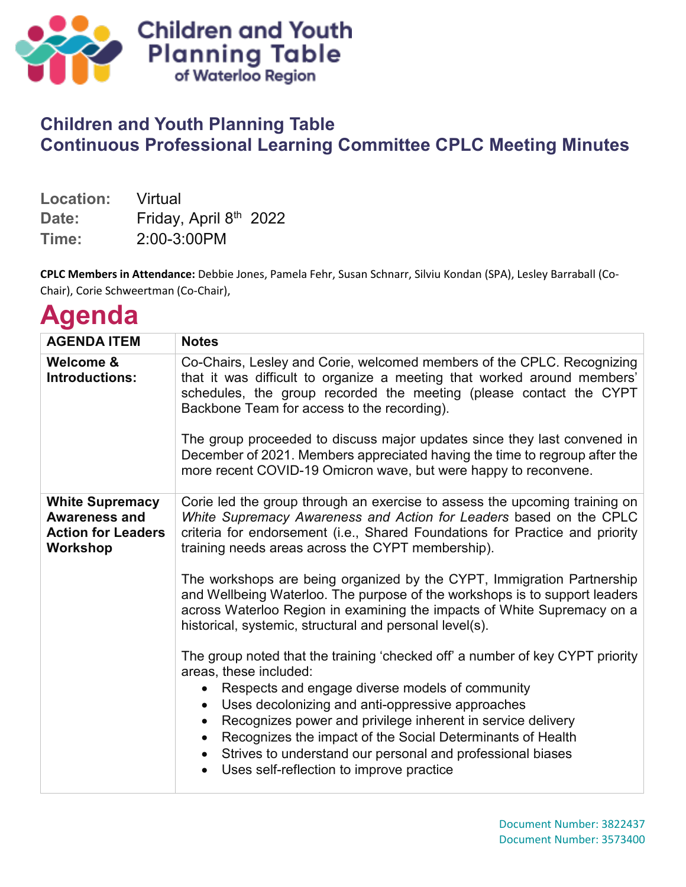

## **Children and Youth Planning Table Continuous Professional Learning Committee CPLC Meeting Minutes**

| Location: | Virtual                |  |
|-----------|------------------------|--|
| Date:     | Friday, April 8th 2022 |  |
| Time:     | 2:00-3:00PM            |  |

**CPLC Members in Attendance:** Debbie Jones, Pamela Fehr, Susan Schnarr, Silviu Kondan (SPA), Lesley Barraball (Co-Chair), Corie Schweertman (Co-Chair),

## **Agenda**

| <b>AGENDA ITEM</b>                                                                             | <b>Notes</b>                                                                                                                                                                                                                                                                                                                                       |
|------------------------------------------------------------------------------------------------|----------------------------------------------------------------------------------------------------------------------------------------------------------------------------------------------------------------------------------------------------------------------------------------------------------------------------------------------------|
| Welcome &<br>Introductions:                                                                    | Co-Chairs, Lesley and Corie, welcomed members of the CPLC. Recognizing<br>that it was difficult to organize a meeting that worked around members'<br>schedules, the group recorded the meeting (please contact the CYPT<br>Backbone Team for access to the recording).<br>The group proceeded to discuss major updates since they last convened in |
|                                                                                                | December of 2021. Members appreciated having the time to regroup after the<br>more recent COVID-19 Omicron wave, but were happy to reconvene.                                                                                                                                                                                                      |
| <b>White Supremacy</b><br><b>Awareness and</b><br><b>Action for Leaders</b><br><b>Workshop</b> | Corie led the group through an exercise to assess the upcoming training on<br>White Supremacy Awareness and Action for Leaders based on the CPLC<br>criteria for endorsement (i.e., Shared Foundations for Practice and priority<br>training needs areas across the CYPT membership).                                                              |
|                                                                                                | The workshops are being organized by the CYPT, Immigration Partnership<br>and Wellbeing Waterloo. The purpose of the workshops is to support leaders<br>across Waterloo Region in examining the impacts of White Supremacy on a<br>historical, systemic, structural and personal level(s).                                                         |
|                                                                                                | The group noted that the training 'checked off' a number of key CYPT priority<br>areas, these included:<br>Respects and engage diverse models of community                                                                                                                                                                                         |
|                                                                                                | Uses decolonizing and anti-oppressive approaches<br>$\bullet$                                                                                                                                                                                                                                                                                      |
|                                                                                                | Recognizes power and privilege inherent in service delivery<br>$\bullet$<br>Recognizes the impact of the Social Determinants of Health<br>$\bullet$<br>Strives to understand our personal and professional biases<br>$\bullet$<br>Uses self-reflection to improve practice                                                                         |
|                                                                                                |                                                                                                                                                                                                                                                                                                                                                    |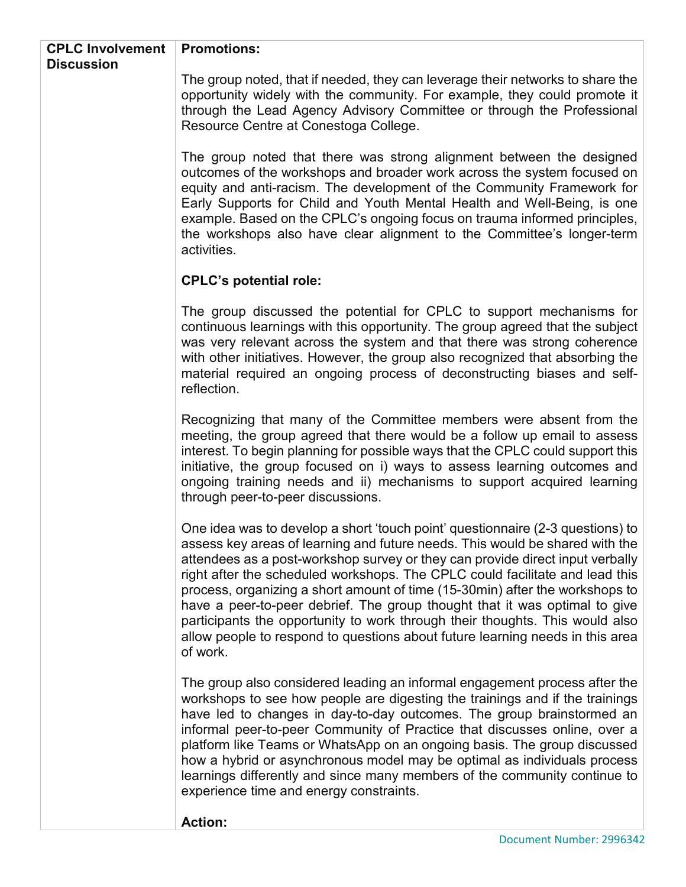| <b>CPLC Involvement</b> | <b>Promotions:</b>                                                                                                                                                                                                                                                                                                                                                                                                                                                                                                                                                                                                                                                         |  |
|-------------------------|----------------------------------------------------------------------------------------------------------------------------------------------------------------------------------------------------------------------------------------------------------------------------------------------------------------------------------------------------------------------------------------------------------------------------------------------------------------------------------------------------------------------------------------------------------------------------------------------------------------------------------------------------------------------------|--|
| <b>Discussion</b>       |                                                                                                                                                                                                                                                                                                                                                                                                                                                                                                                                                                                                                                                                            |  |
|                         | The group noted, that if needed, they can leverage their networks to share the<br>opportunity widely with the community. For example, they could promote it<br>through the Lead Agency Advisory Committee or through the Professional<br>Resource Centre at Conestoga College.                                                                                                                                                                                                                                                                                                                                                                                             |  |
|                         | The group noted that there was strong alignment between the designed<br>outcomes of the workshops and broader work across the system focused on<br>equity and anti-racism. The development of the Community Framework for<br>Early Supports for Child and Youth Mental Health and Well-Being, is one<br>example. Based on the CPLC's ongoing focus on trauma informed principles,<br>the workshops also have clear alignment to the Committee's longer-term<br>activities.                                                                                                                                                                                                 |  |
|                         | <b>CPLC's potential role:</b>                                                                                                                                                                                                                                                                                                                                                                                                                                                                                                                                                                                                                                              |  |
|                         | The group discussed the potential for CPLC to support mechanisms for<br>continuous learnings with this opportunity. The group agreed that the subject<br>was very relevant across the system and that there was strong coherence<br>with other initiatives. However, the group also recognized that absorbing the<br>material required an ongoing process of deconstructing biases and self-<br>reflection.                                                                                                                                                                                                                                                                |  |
|                         | Recognizing that many of the Committee members were absent from the<br>meeting, the group agreed that there would be a follow up email to assess<br>interest. To begin planning for possible ways that the CPLC could support this<br>initiative, the group focused on i) ways to assess learning outcomes and<br>ongoing training needs and ii) mechanisms to support acquired learning<br>through peer-to-peer discussions.                                                                                                                                                                                                                                              |  |
|                         | One idea was to develop a short 'touch point' questionnaire (2-3 questions) to<br>assess key areas of learning and future needs. This would be shared with the<br>attendees as a post-workshop survey or they can provide direct input verbally<br>right after the scheduled workshops. The CPLC could facilitate and lead this<br>process, organizing a short amount of time (15-30min) after the workshops to<br>have a peer-to-peer debrief. The group thought that it was optimal to give<br>participants the opportunity to work through their thoughts. This would also<br>allow people to respond to questions about future learning needs in this area<br>of work. |  |
|                         | The group also considered leading an informal engagement process after the<br>workshops to see how people are digesting the trainings and if the trainings<br>have led to changes in day-to-day outcomes. The group brainstormed an<br>informal peer-to-peer Community of Practice that discusses online, over a<br>platform like Teams or WhatsApp on an ongoing basis. The group discussed<br>how a hybrid or asynchronous model may be optimal as individuals process<br>learnings differently and since many members of the community continue to<br>experience time and energy constraints.                                                                           |  |
|                         | <b>Action:</b>                                                                                                                                                                                                                                                                                                                                                                                                                                                                                                                                                                                                                                                             |  |